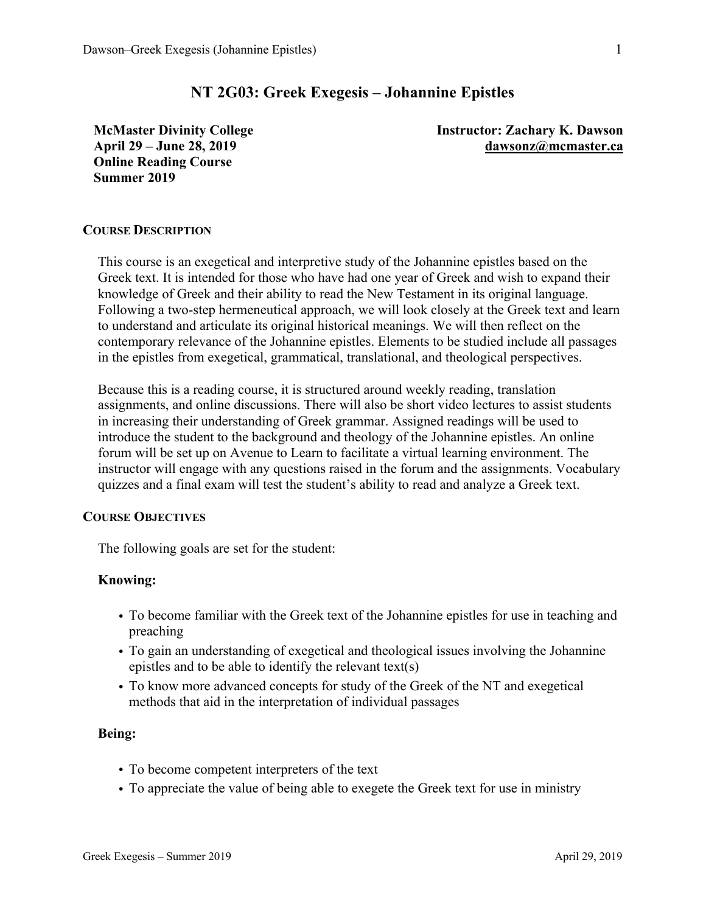# **NT 2G03: Greek Exegesis – Johannine Epistles**

**McMaster Divinity College April 29 – June 28, 2019 Online Reading Course Summer 2019**

**Instructor: Zachary K. Dawson dawsonz@mcmaster.ca**

### **COURSE DESCRIPTION**

This course is an exegetical and interpretive study of the Johannine epistles based on the Greek text. It is intended for those who have had one year of Greek and wish to expand their knowledge of Greek and their ability to read the New Testament in its original language. Following a two-step hermeneutical approach, we will look closely at the Greek text and learn to understand and articulate its original historical meanings. We will then reflect on the contemporary relevance of the Johannine epistles. Elements to be studied include all passages in the epistles from exegetical, grammatical, translational, and theological perspectives.

Because this is a reading course, it is structured around weekly reading, translation assignments, and online discussions. There will also be short video lectures to assist students in increasing their understanding of Greek grammar. Assigned readings will be used to introduce the student to the background and theology of the Johannine epistles. An online forum will be set up on Avenue to Learn to facilitate a virtual learning environment. The instructor will engage with any questions raised in the forum and the assignments. Vocabulary quizzes and a final exam will test the student's ability to read and analyze a Greek text.

# **COURSE OBJECTIVES**

The following goals are set for the student:

#### **Knowing:**

- To become familiar with the Greek text of the Johannine epistles for use in teaching and preaching
- To gain an understanding of exegetical and theological issues involving the Johannine epistles and to be able to identify the relevant text(s)
- To know more advanced concepts for study of the Greek of the NT and exegetical methods that aid in the interpretation of individual passages

### **Being:**

- To become competent interpreters of the text
- To appreciate the value of being able to exegete the Greek text for use in ministry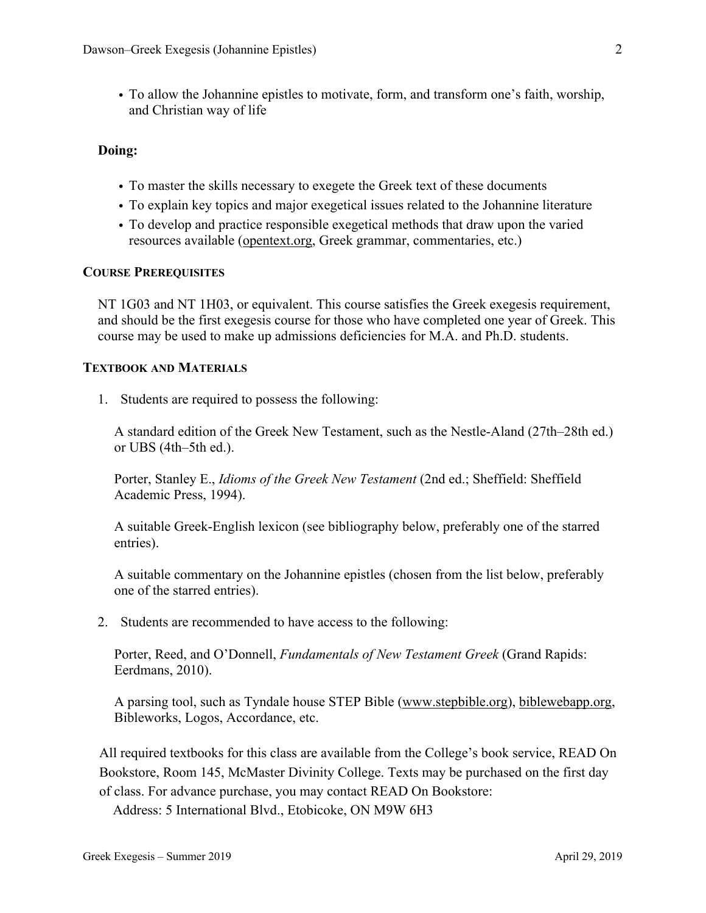• To allow the Johannine epistles to motivate, form, and transform one's faith, worship, and Christian way of life

### **Doing:**

- To master the skills necessary to exegete the Greek text of these documents
- To explain key topics and major exegetical issues related to the Johannine literature
- To develop and practice responsible exegetical methods that draw upon the varied resources available (opentext.org, Greek grammar, commentaries, etc.)

# **COURSE PREREQUISITES**

NT 1G03 and NT 1H03, or equivalent. This course satisfies the Greek exegesis requirement, and should be the first exegesis course for those who have completed one year of Greek. This course may be used to make up admissions deficiencies for M.A. and Ph.D. students.

# **TEXTBOOK AND MATERIALS**

1. Students are required to possess the following:

A standard edition of the Greek New Testament, such as the Nestle-Aland (27th–28th ed.) or UBS (4th–5th ed.).

Porter, Stanley E., *Idioms of the Greek New Testament* (2nd ed.; Sheffield: Sheffield Academic Press, 1994).

A suitable Greek-English lexicon (see bibliography below, preferably one of the starred entries).

A suitable commentary on the Johannine epistles (chosen from the list below, preferably one of the starred entries).

2. Students are recommended to have access to the following:

Porter, Reed, and O'Donnell, *Fundamentals of New Testament Greek* (Grand Rapids: Eerdmans, 2010).

A parsing tool, such as Tyndale house STEP Bible (www.stepbible.org), biblewebapp.org, Bibleworks, Logos, Accordance, etc.

All required textbooks for this class are available from the College's book service, READ On Bookstore, Room 145, McMaster Divinity College. Texts may be purchased on the first day of class. For advance purchase, you may contact READ On Bookstore:

Address: 5 International Blvd., Etobicoke, ON M9W 6H3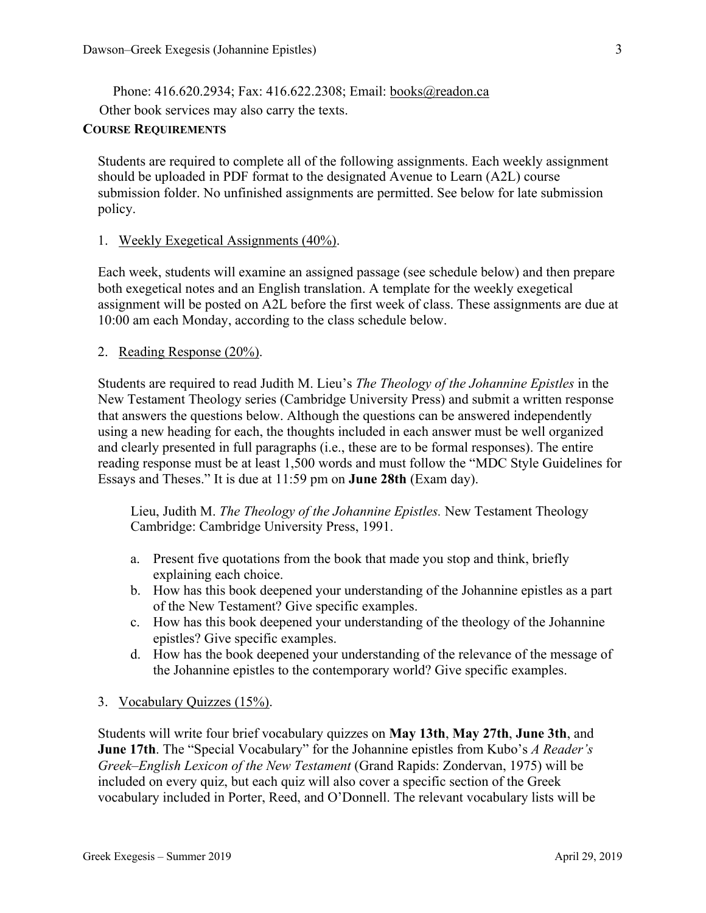Phone: 416.620.2934; Fax: 416.622.2308; Email: books@readon.ca

Other book services may also carry the texts.

### **COURSE REQUIREMENTS**

Students are required to complete all of the following assignments. Each weekly assignment should be uploaded in PDF format to the designated Avenue to Learn (A2L) course submission folder. No unfinished assignments are permitted. See below for late submission policy.

# 1. Weekly Exegetical Assignments (40%).

Each week, students will examine an assigned passage (see schedule below) and then prepare both exegetical notes and an English translation. A template for the weekly exegetical assignment will be posted on A2L before the first week of class. These assignments are due at 10:00 am each Monday, according to the class schedule below.

# 2. Reading Response (20%).

Students are required to read Judith M. Lieu's *The Theology of the Johannine Epistles* in the New Testament Theology series (Cambridge University Press) and submit a written response that answers the questions below. Although the questions can be answered independently using a new heading for each, the thoughts included in each answer must be well organized and clearly presented in full paragraphs (i.e., these are to be formal responses). The entire reading response must be at least 1,500 words and must follow the "MDC Style Guidelines for Essays and Theses." It is due at 11:59 pm on **June 28th** (Exam day).

Lieu, Judith M. *The Theology of the Johannine Epistles.* New Testament Theology Cambridge: Cambridge University Press, 1991.

- a. Present five quotations from the book that made you stop and think, briefly explaining each choice.
- b. How has this book deepened your understanding of the Johannine epistles as a part of the New Testament? Give specific examples.
- c. How has this book deepened your understanding of the theology of the Johannine epistles? Give specific examples.
- d. How has the book deepened your understanding of the relevance of the message of the Johannine epistles to the contemporary world? Give specific examples.

# 3. Vocabulary Quizzes (15%).

Students will write four brief vocabulary quizzes on **May 13th**, **May 27th**, **June 3th**, and **June 17th**. The "Special Vocabulary" for the Johannine epistles from Kubo's *A Reader's Greek–English Lexicon of the New Testament* (Grand Rapids: Zondervan, 1975) will be included on every quiz, but each quiz will also cover a specific section of the Greek vocabulary included in Porter, Reed, and O'Donnell. The relevant vocabulary lists will be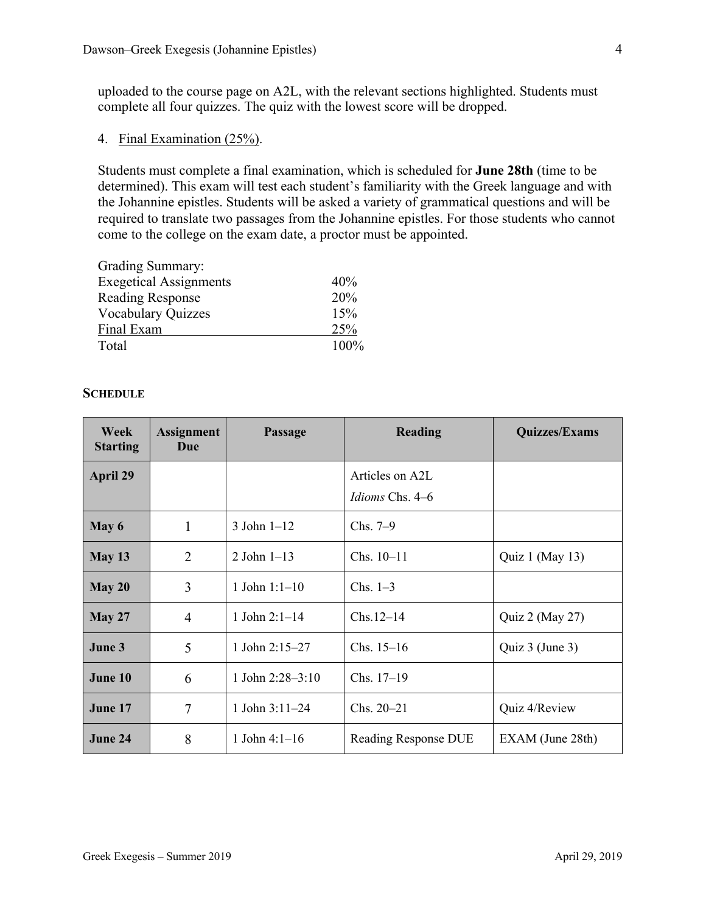uploaded to the course page on A2L, with the relevant sections highlighted. Students must complete all four quizzes. The quiz with the lowest score will be dropped.

4. Final Examination (25%).

Students must complete a final examination, which is scheduled for **June 28th** (time to be determined). This exam will test each student's familiarity with the Greek language and with the Johannine epistles. Students will be asked a variety of grammatical questions and will be required to translate two passages from the Johannine epistles. For those students who cannot come to the college on the exam date, a proctor must be appointed.

| Grading Summary:              |         |
|-------------------------------|---------|
| <b>Exegetical Assignments</b> | 40%     |
| <b>Reading Response</b>       | 20%     |
| <b>Vocabulary Quizzes</b>     | 15%     |
| Final Exam                    | 25%     |
| Total                         | $100\%$ |

# **SCHEDULE**

| <b>Week</b><br><b>Starting</b> | <b>Assignment</b><br>Due | <b>Passage</b>     | <b>Reading</b>       | <b>Quizzes/Exams</b> |
|--------------------------------|--------------------------|--------------------|----------------------|----------------------|
| <b>April 29</b>                |                          |                    | Articles on A2L      |                      |
|                                |                          |                    | Idioms Chs. 4–6      |                      |
| May 6                          | 1                        | $3$ John $1-12$    | Chs. $7-9$           |                      |
| May 13                         | $\overline{2}$           | $2$ John $1-13$    | $Chs. 10-11$         | Quiz 1 (May 13)      |
| May 20                         | 3                        | 1 John $1:1-10$    | Chs. $1-3$           |                      |
| <b>May 27</b>                  | $\overline{4}$           | 1 John $2:1-14$    | $Chs.12-14$          | Quiz 2 (May 27)      |
| June 3                         | 5                        | 1 John 2:15-27     | Chs. $15-16$         | Quiz 3 (June 3)      |
| June 10                        | 6                        | 1 John $2:28-3:10$ | $Chs. 17-19$         |                      |
| June 17                        | 7                        | 1 John $3:11-24$   | Chs. 20-21           | Quiz 4/Review        |
| June 24                        | 8                        | 1 John $4:1-16$    | Reading Response DUE | EXAM (June 28th)     |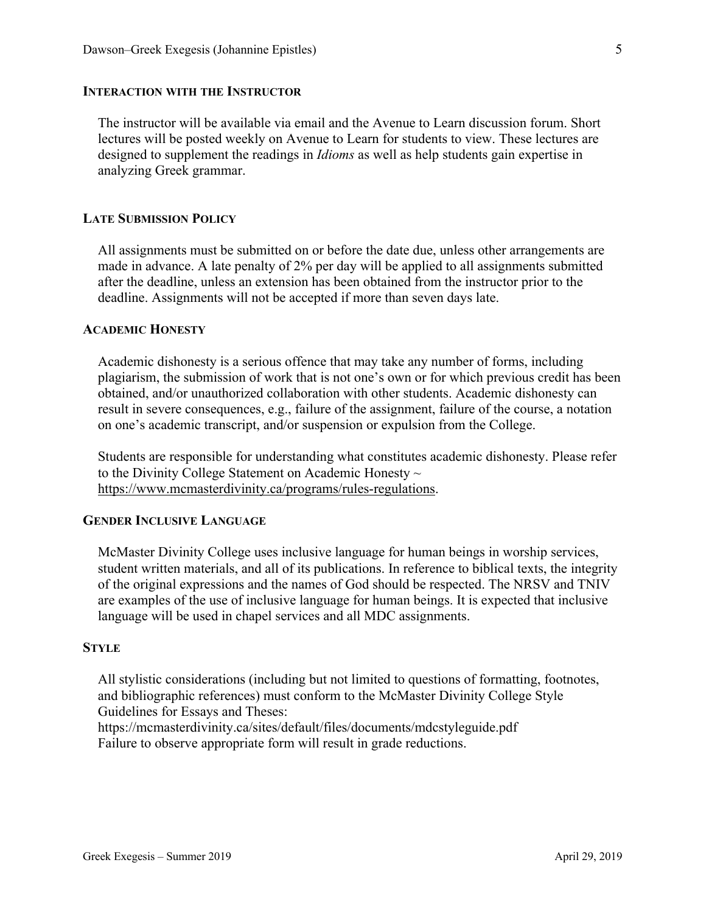#### **INTERACTION WITH THE INSTRUCTOR**

The instructor will be available via email and the Avenue to Learn discussion forum. Short lectures will be posted weekly on Avenue to Learn for students to view. These lectures are designed to supplement the readings in *Idioms* as well as help students gain expertise in analyzing Greek grammar.

#### **LATE SUBMISSION POLICY**

All assignments must be submitted on or before the date due, unless other arrangements are made in advance. A late penalty of 2% per day will be applied to all assignments submitted after the deadline, unless an extension has been obtained from the instructor prior to the deadline. Assignments will not be accepted if more than seven days late.

### **ACADEMIC HONESTY**

Academic dishonesty is a serious offence that may take any number of forms, including plagiarism, the submission of work that is not one's own or for which previous credit has been obtained, and/or unauthorized collaboration with other students. Academic dishonesty can result in severe consequences, e.g., failure of the assignment, failure of the course, a notation on one's academic transcript, and/or suspension or expulsion from the College.

Students are responsible for understanding what constitutes academic dishonesty. Please refer to the Divinity College Statement on Academic Honesty  $\sim$ https://www.mcmasterdivinity.ca/programs/rules-regulations.

# **GENDER INCLUSIVE LANGUAGE**

McMaster Divinity College uses inclusive language for human beings in worship services, student written materials, and all of its publications. In reference to biblical texts, the integrity of the original expressions and the names of God should be respected. The NRSV and TNIV are examples of the use of inclusive language for human beings. It is expected that inclusive language will be used in chapel services and all MDC assignments.

#### **STYLE**

All stylistic considerations (including but not limited to questions of formatting, footnotes, and bibliographic references) must conform to the McMaster Divinity College Style Guidelines for Essays and Theses:

https://mcmasterdivinity.ca/sites/default/files/documents/mdcstyleguide.pdf Failure to observe appropriate form will result in grade reductions.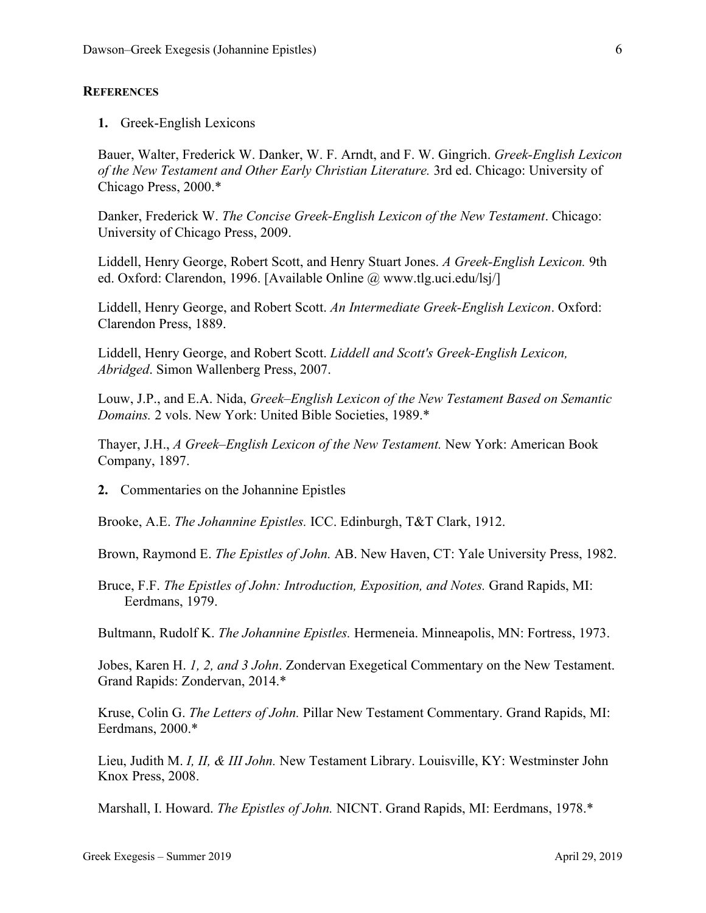#### **REFERENCES**

**1.** Greek-English Lexicons

Bauer, Walter, Frederick W. Danker, W. F. Arndt, and F. W. Gingrich. *Greek-English Lexicon of the New Testament and Other Early Christian Literature.* 3rd ed. Chicago: University of Chicago Press, 2000.\*

Danker, Frederick W. *The Concise Greek-English Lexicon of the New Testament*. Chicago: University of Chicago Press, 2009.

Liddell, Henry George, Robert Scott, and Henry Stuart Jones. *A Greek-English Lexicon.* 9th ed. Oxford: Clarendon, 1996. [Available Online @ www.tlg.uci.edu/lsj/]

Liddell, Henry George, and Robert Scott. *An Intermediate Greek-English Lexicon*. Oxford: Clarendon Press, 1889.

Liddell, Henry George, and Robert Scott. *Liddell and Scott's Greek-English Lexicon, Abridged*. Simon Wallenberg Press, 2007.

Louw, J.P., and E.A. Nida, *Greek–English Lexicon of the New Testament Based on Semantic Domains.* 2 vols. New York: United Bible Societies, 1989.\*

Thayer, J.H., *A Greek–English Lexicon of the New Testament.* New York: American Book Company, 1897.

**2.** Commentaries on the Johannine Epistles

Brooke, A.E. *The Johannine Epistles.* ICC. Edinburgh, T&T Clark, 1912.

Brown, Raymond E. *The Epistles of John.* AB. New Haven, CT: Yale University Press, 1982.

Bruce, F.F. *The Epistles of John: Introduction, Exposition, and Notes.* Grand Rapids, MI: Eerdmans, 1979.

Bultmann, Rudolf K. *The Johannine Epistles.* Hermeneia. Minneapolis, MN: Fortress, 1973.

Jobes, Karen H. *1, 2, and 3 John*. Zondervan Exegetical Commentary on the New Testament. Grand Rapids: Zondervan, 2014.\*

Kruse, Colin G. *The Letters of John.* Pillar New Testament Commentary. Grand Rapids, MI: Eerdmans, 2000.\*

Lieu, Judith M. *I, II, & III John.* New Testament Library. Louisville, KY: Westminster John Knox Press, 2008.

Marshall, I. Howard. *The Epistles of John.* NICNT. Grand Rapids, MI: Eerdmans, 1978.\*